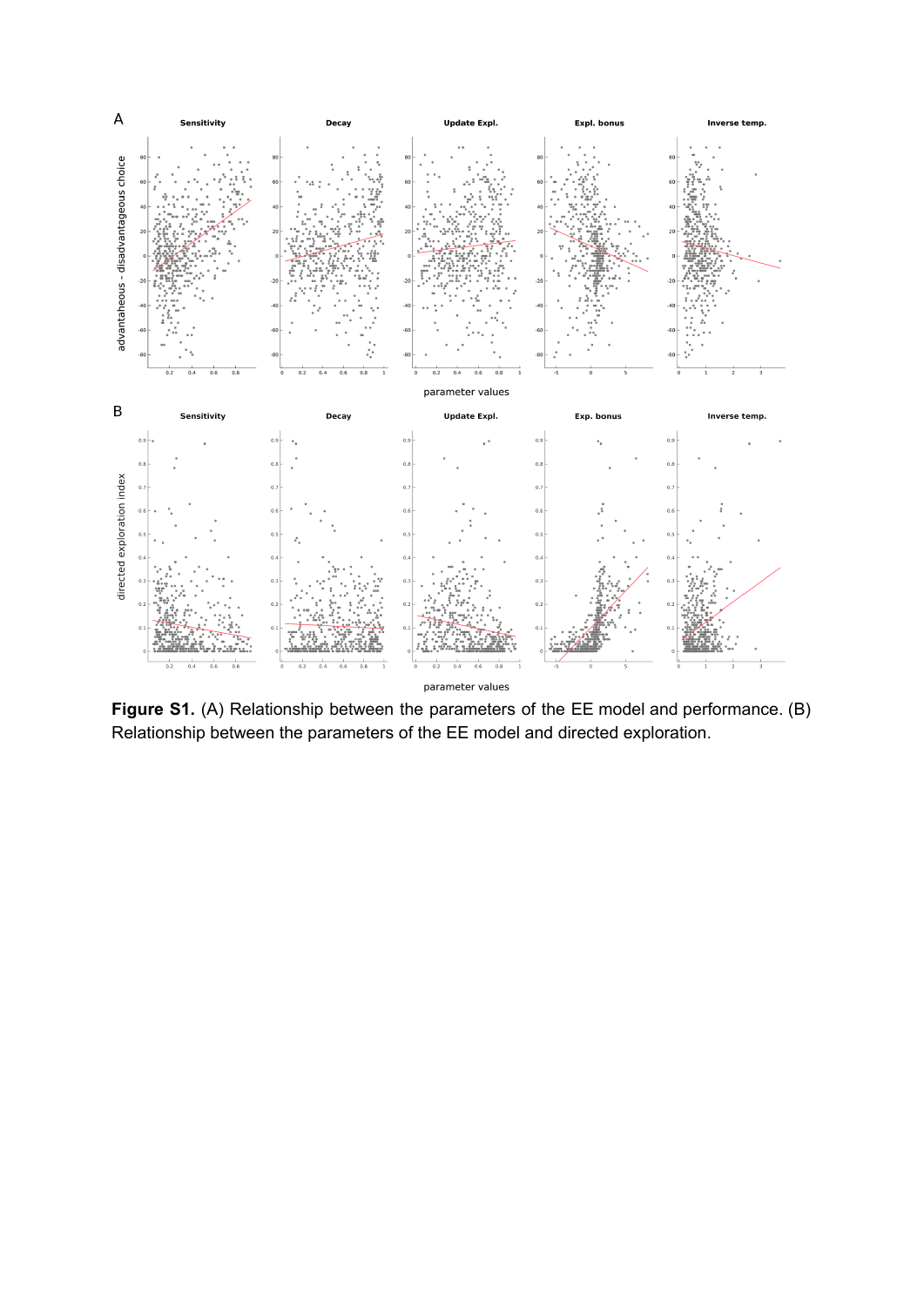

**Figure S1.** (A) Relationship between the parameters of the EE model and performance. (B) Relationship between the parameters of the EE model and directed exploration.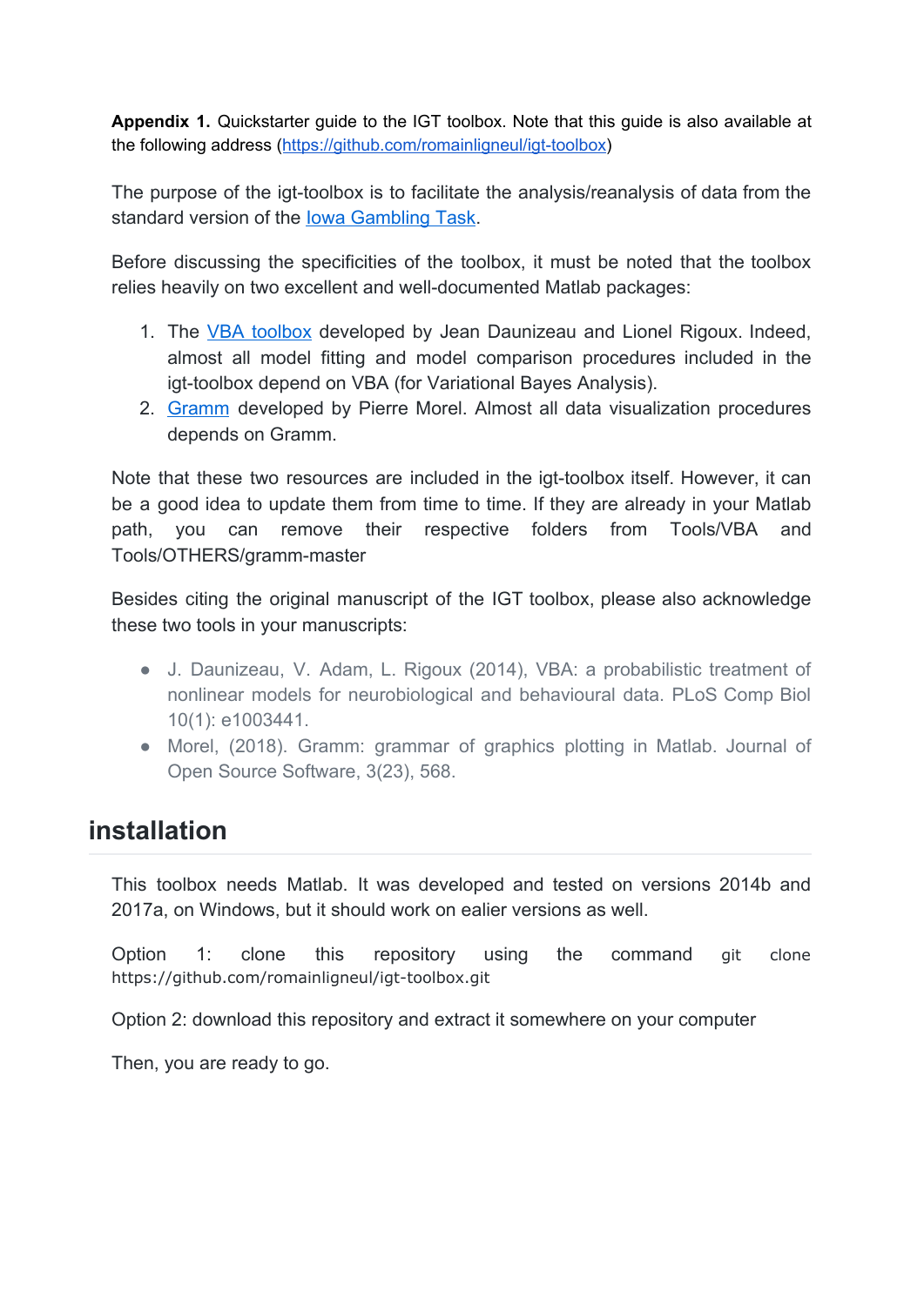**Appendix 1.** Quickstarter guide to the IGT toolbox. Note that this guide is also available at the following address [\(https://github.com/romainligneul/igt-toolbox](https://github.com/romainligneul/igt-toolbox))

The purpose of the igt-toolbox is to facilitate the analysis/reanalysis of data from the standard version of the [Iowa Gambling Task](https://en.wikipedia.org/wiki/Iowa_gambling_task).

Before discussing the specificities of the toolbox, it must be noted that the toolbox relies heavily on two excellent and well-documented Matlab packages:

- 1. The VBA [toolbox](https://mbb-team.github.io/VBA-toolbox/) developed by Jean Daunizeau and Lionel Rigoux. Indeed, almost all model fitting and model comparison procedures included in the igt-toolbox depend on VBA (for Variational Bayes Analysis).
- 2. [Gramm](https://github.com/piermorel/gramm) developed by Pierre Morel. Almost all data visualization procedures depends on Gramm.

Note that these two resources are included in the igt-toolbox itself. However, it can be a good idea to update them from time to time. If they are already in your Matlab path, you can remove their respective folders from Tools/VBA and Tools/OTHERS/gramm-master

Besides citing the original manuscript of the IGT toolbox, please also acknowledge these two tools in your manuscripts:

- J. Daunizeau, V. Adam, L. Rigoux (2014), VBA: a probabilistic treatment of nonlinear models for neurobiological and behavioural data. PLoS Comp Biol 10(1): e1003441.
- Morel, (2018). Gramm: grammar of graphics plotting in Matlab. Journal of Open Source Software, 3(23), 568.

# **installation**

This toolbox needs Matlab. It was developed and tested on versions 2014b and 2017a, on Windows, but it should work on ealier versions as well.

Option 1: clone this repository using the command git clone https://github.com/romainligneul/igt-toolbox.git

Option 2: download this repository and extract it somewhere on your computer

Then, you are ready to go.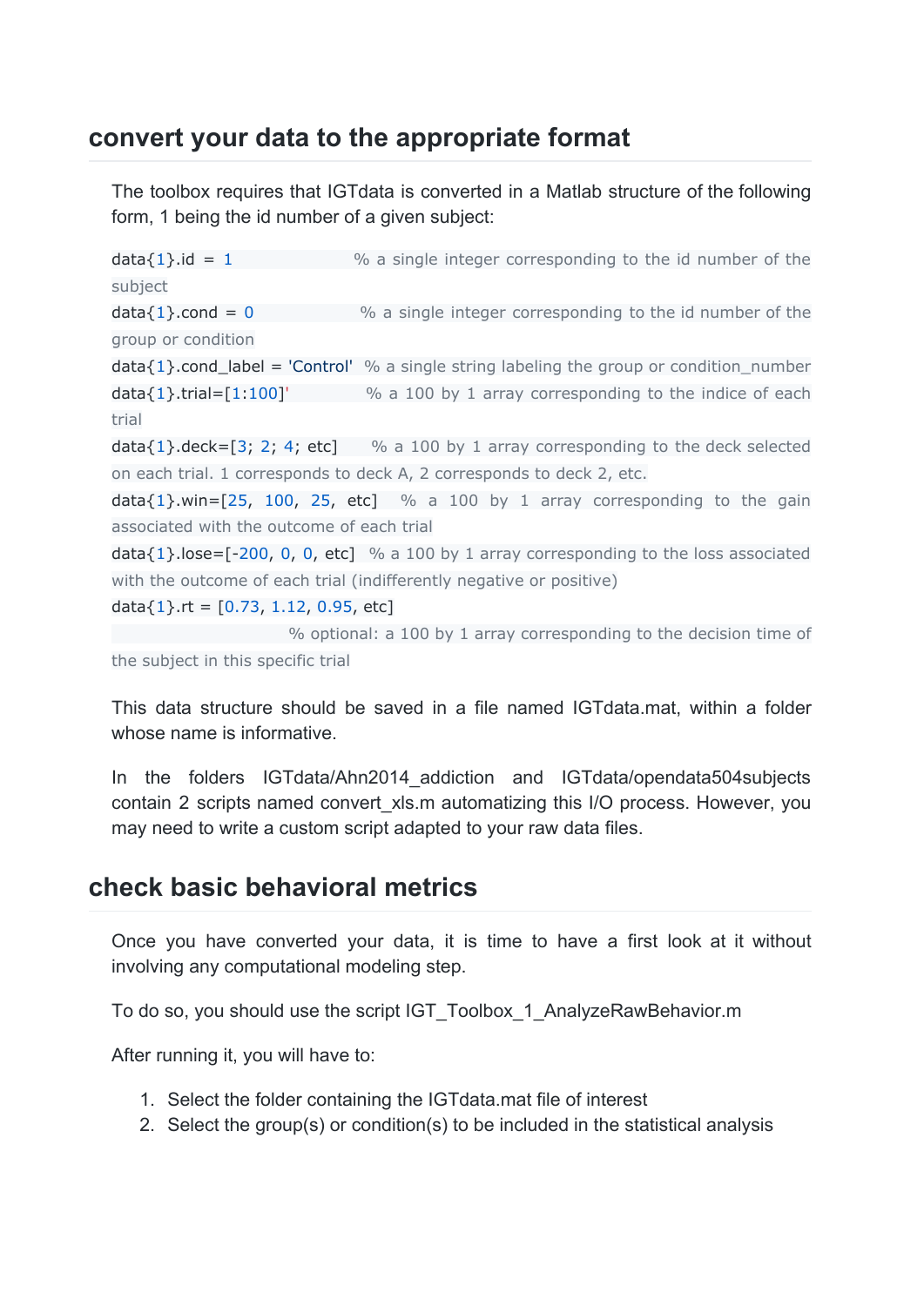## **convert your data to the appropriate format**

The toolbox requires that IGTdata is converted in a Matlab structure of the following form, 1 being the id number of a given subject:

 $data{1}.id = 1$  % a single integer corresponding to the id number of the subject  $data{1}$ .cond = 0  $%$  a single integer corresponding to the id number of the group or condition  $data{1}$ .cond\_label = 'Control' % a single string labeling the group or condition\_number  $data{1}$ .trial=[1:100]' % a 100 by 1 array corresponding to the indice of each trial  $data{1}$ .deck=[3; 2; 4; etc] % a 100 by 1 array corresponding to the deck selected on each trial. 1 corresponds to deck A, 2 corresponds to deck 2, etc.  $data{1}$ , win=[25, 100, 25, etc] % a 100 by 1 array corresponding to the gain associated with the outcome of each trial  $data{1}$ .lose=[-200, 0, 0, etc] % a 100 by 1 array corresponding to the loss associated with the outcome of each trial (indifferently negative or positive)

data $\{1\}$ .rt = [0.73, 1.12, 0.95, etc]

% optional: a 100 by 1 array corresponding to the decision time of the subject in this specific trial

This data structure should be saved in a file named IGTdata.mat, within a folder whose name is informative.

In the folders IGTdata/Ahn2014\_addiction and IGTdata/opendata504subjects contain 2 scripts named convert xls.m automatizing this I/O process. However, you may need to write a custom script adapted to your raw data files.

### **check basic behavioral metrics**

Once you have converted your data, it is time to have a first look at it without involving any computational modeling step.

To do so, you should use the script IGT\_Toolbox\_1\_AnalyzeRawBehavior.m

After running it, you will have to:

- 1. Select the folder containing the IGTdata.mat file of interest
- 2. Select the group(s) or condition(s) to be included in the statistical analysis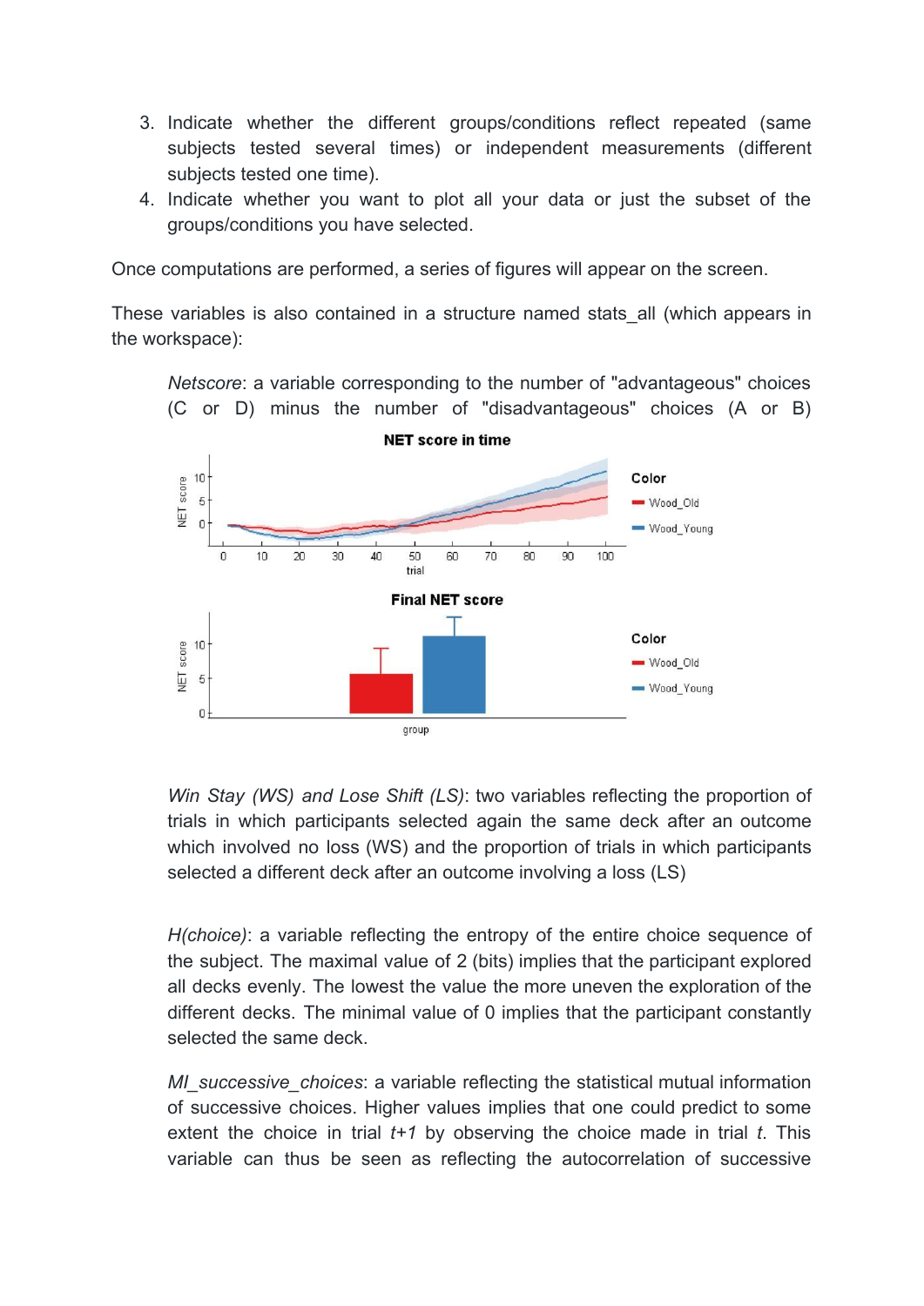- 3. Indicate whether the different groups/conditions reflect repeated (same subjects tested several times) or independent measurements (different subjects tested one time).
- 4. Indicate whether you want to plot all your data or just the subset of the groups/conditions you have selected.

Once computations are performed, a series of figures will appear on the screen.

These variables is also contained in a structure named stats\_all (which appears in the workspace):

*Netscore*: a variable corresponding to the number of "advantageous" choices (C or D) minus the number of "disadvantageous" choices (A or B)



*Win Stay (WS) and Lose Shift (LS)*: two variables reflecting the proportion of trials in which participants selected again the same deck after an outcome which involved no loss (WS) and the proportion of trials in which participants selected a different deck after an outcome involving a loss (LS)

*H(choice)*: a variable reflecting the entropy of the entire choice sequence of the subject. The maximal value of 2 (bits) implies that the participant explored all decks evenly. The lowest the value the more uneven the exploration of the different decks. The minimal value of 0 implies that the participant constantly selected the same deck.

*MI\_successive\_choices*: a variable reflecting the statistical mutual information of successive choices. Higher values implies that one could predict to some extent the choice in trial *t+1* by observing the choice made in trial *t*. This variable can thus be seen as reflecting the autocorrelation of successive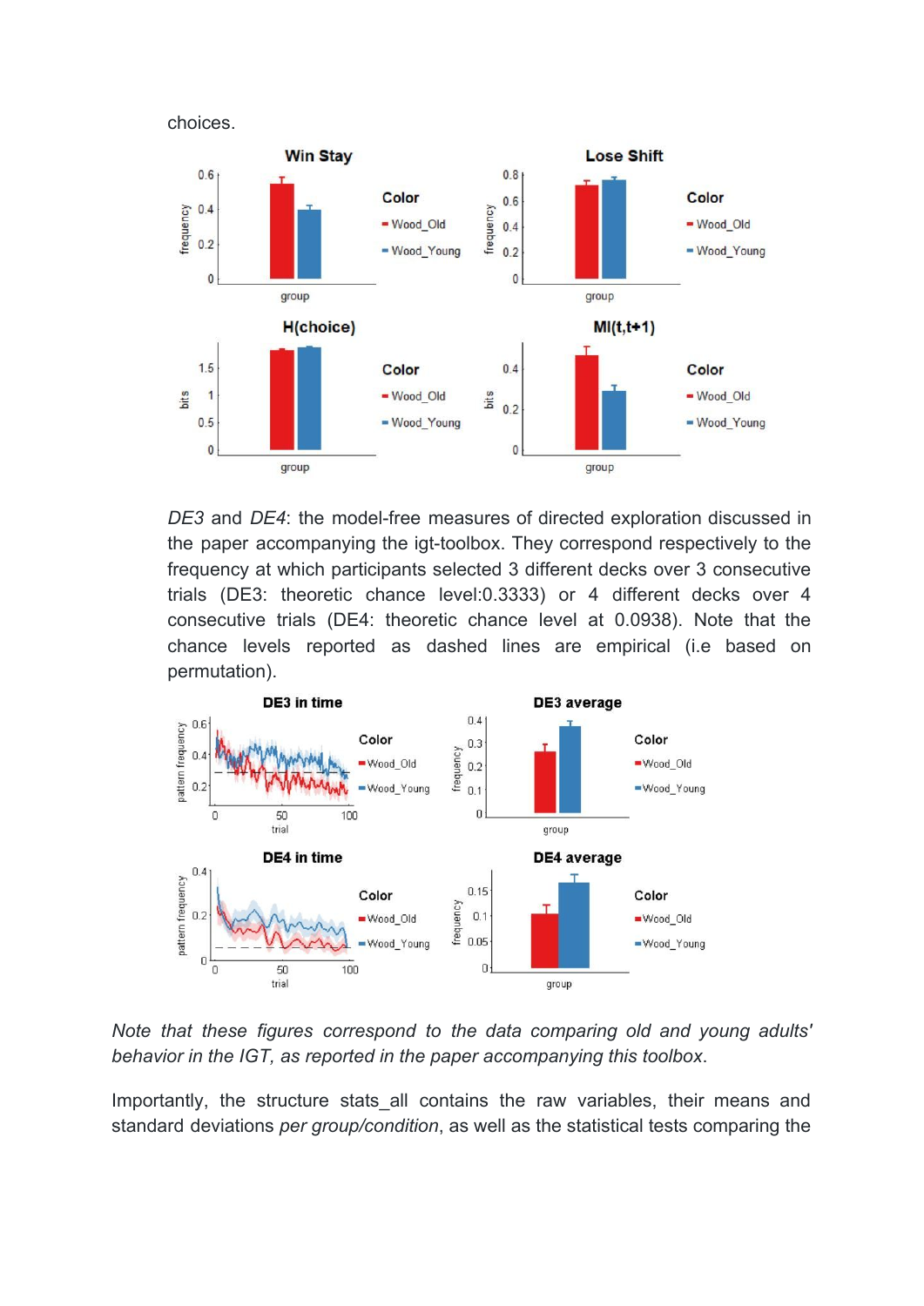



*DE3* and *DE4*: the model-free measures of directed exploration discussed in the paper accompanying the igt-toolbox. They correspond respectively to the frequency at which participants selected 3 different decks over 3 consecutive trials (DE3: theoretic chance level:0.3333) or 4 different decks over 4 consecutive trials (DE4: theoretic chance level at 0.0938). Note that the chance levels reported as dashed lines are empirical (i.e based on permutation).



*Note that these figures correspond to the data comparing old and young adults' behavior in the IGT, as reported in the paper accompanying this toolbox*.

Importantly, the structure stats all contains the raw variables, their means and standard deviations *per group/condition*, as well as the statistical tests comparing the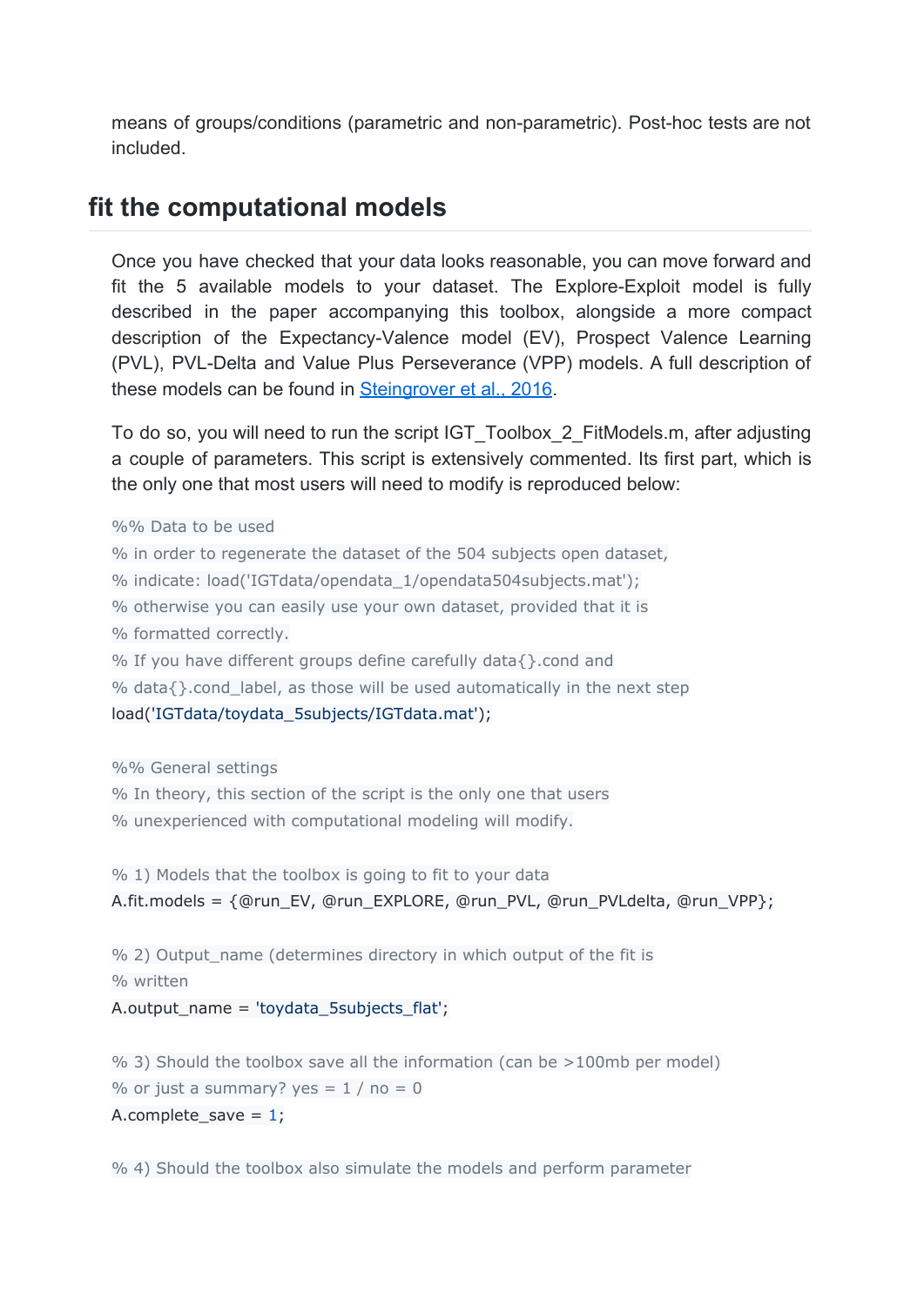means of groups/conditions (parametric and non-parametric). Post-hoc tests are not included.

### **fit the computational models**

Once you have checked that your data looks reasonable, you can move forward and fit the 5 available models to your dataset. The Explore-Exploit model is fully described in the paper accompanying this toolbox, alongside a more compact description of the Expectancy-Valence model (EV), Prospect Valence Learning (PVL), PVL-Delta and Value Plus Perseverance (VPP) models. A full description of these models can be found in [Steingrover et al., 2016.](http://psycnet.apa.org/doi/10.1037/dec0000040)

To do so, you will need to run the script IGT\_Toolbox\_2\_FitModels.m, after adjusting a couple of parameters. This script is extensively commented. Its first part, which is the only one that most users will need to modify is reproduced below:

%% Data to be used % in order to regenerate the dataset of the 504 subjects open dataset, % indicate: load('IGTdata/opendata\_1/opendata504subjects.mat'); % otherwise you can easily use your own dataset, provided that it is % formatted correctly. % If you have different groups define carefully data{}.cond and % data $\{\}$ .cond\_label, as those will be used automatically in the next step load('IGTdata/toydata\_5subjects/IGTdata.mat');

%% General settings

% In theory, this section of the script is the only one that users % unexperienced with computational modeling will modify.

```
% 1) Models that the toolbox is going to fit to your data
A.fit.models = {@run_EV, @run_EXPLORE, @run_PVL, @run_PVLdelta, @run_VPP};
```
% 2) Output\_name (determines directory in which output of the fit is % written A.output\_name = 'toydata\_5subjects\_flat';

% 3) Should the toolbox save all the information (can be >100mb per model) % or just a summary? yes =  $1/$  no = 0 A.complete save =  $1$ ;

% 4) Should the toolbox also simulate the models and perform parameter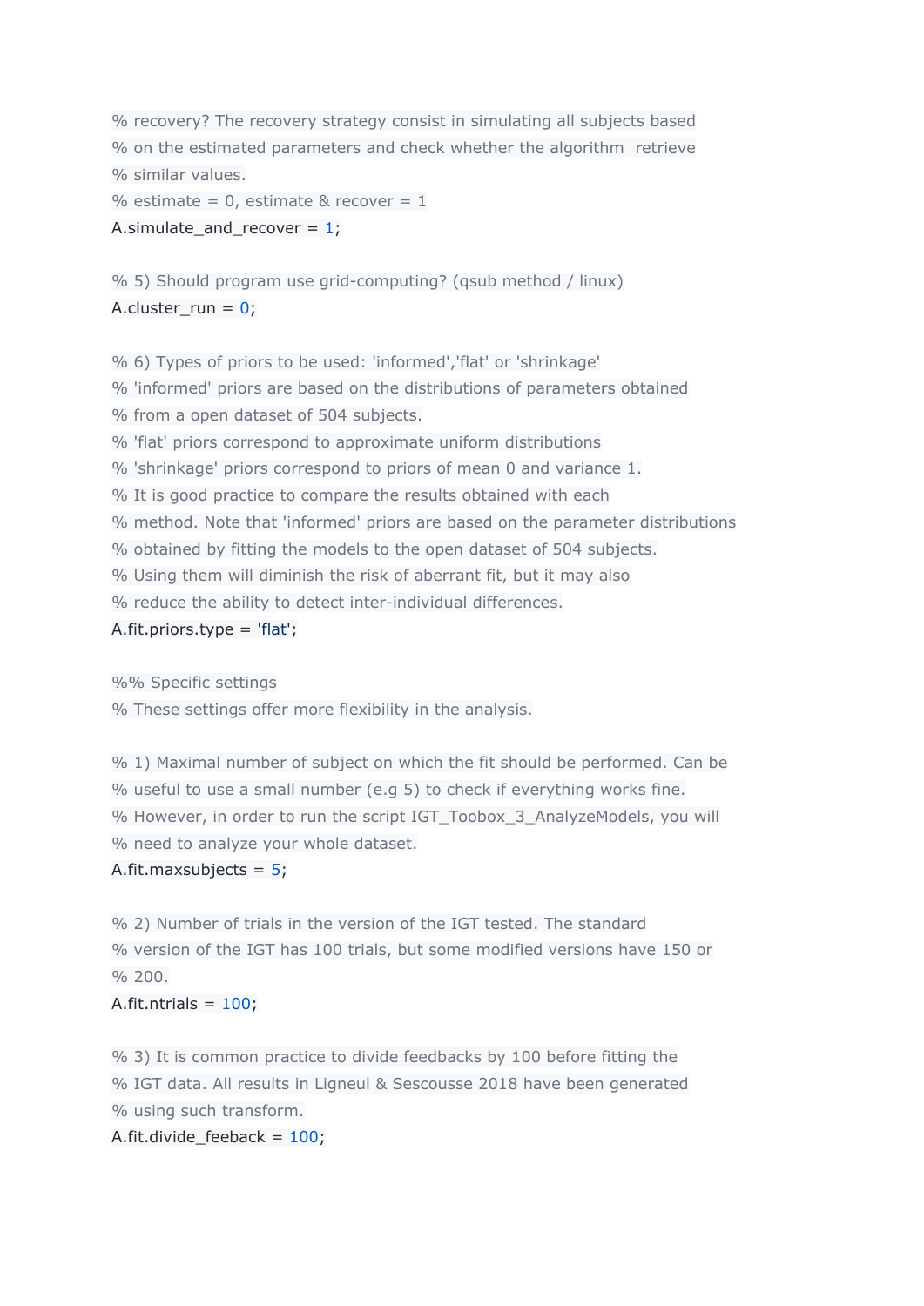% recovery? The recovery strategy consist in simulating all subjects based % on the estimated parameters and check whether the algorithm retrieve % similar values.

% estimate =  $0$ , estimate & recover =  $1$ A.simulate\_and\_recover =  $1$ ;

% 5) Should program use grid-computing? (qsub method / linux) A.cluster  $run = 0$ ;

% 6) Types of priors to be used: 'informed','flat' or 'shrinkage' % 'informed' priors are based on the distributions of parameters obtained % from a open dataset of 504 subjects. % 'flat' priors correspond to approximate uniform distributions % 'shrinkage' priors correspond to priors of mean 0 and variance 1. % It is good practice to compare the results obtained with each % method. Note that 'informed' priors are based on the parameter distributions % obtained by fitting the models to the open dataset of 504 subjects. % Using them will diminish the risk of aberrant fit, but it may also % reduce the ability to detect inter-individual differences. A.fit.priors.type = 'flat';

%% Specific settings

% These settings offer more flexibility in the analysis.

% 1) Maximal number of subject on which the fit should be performed. Can be % useful to use a small number (e.g 5) to check if everything works fine. % However, in order to run the script IGT\_Toobox\_3\_AnalyzeModels, you will % need to analyze your whole dataset.

#### A.fit.maxsubjects =  $5$ ;

% 2) Number of trials in the version of the IGT tested. The standard % version of the IGT has 100 trials, but some modified versions have 150 or  $\%$  200.

#### A.fit.ntrials =  $100$ ;

% 3) It is common practice to divide feedbacks by 100 before fitting the % IGT data. All results in Ligneul & Sescousse 2018 have been generated % using such transform.

A.fit.divide\_feeback = 100;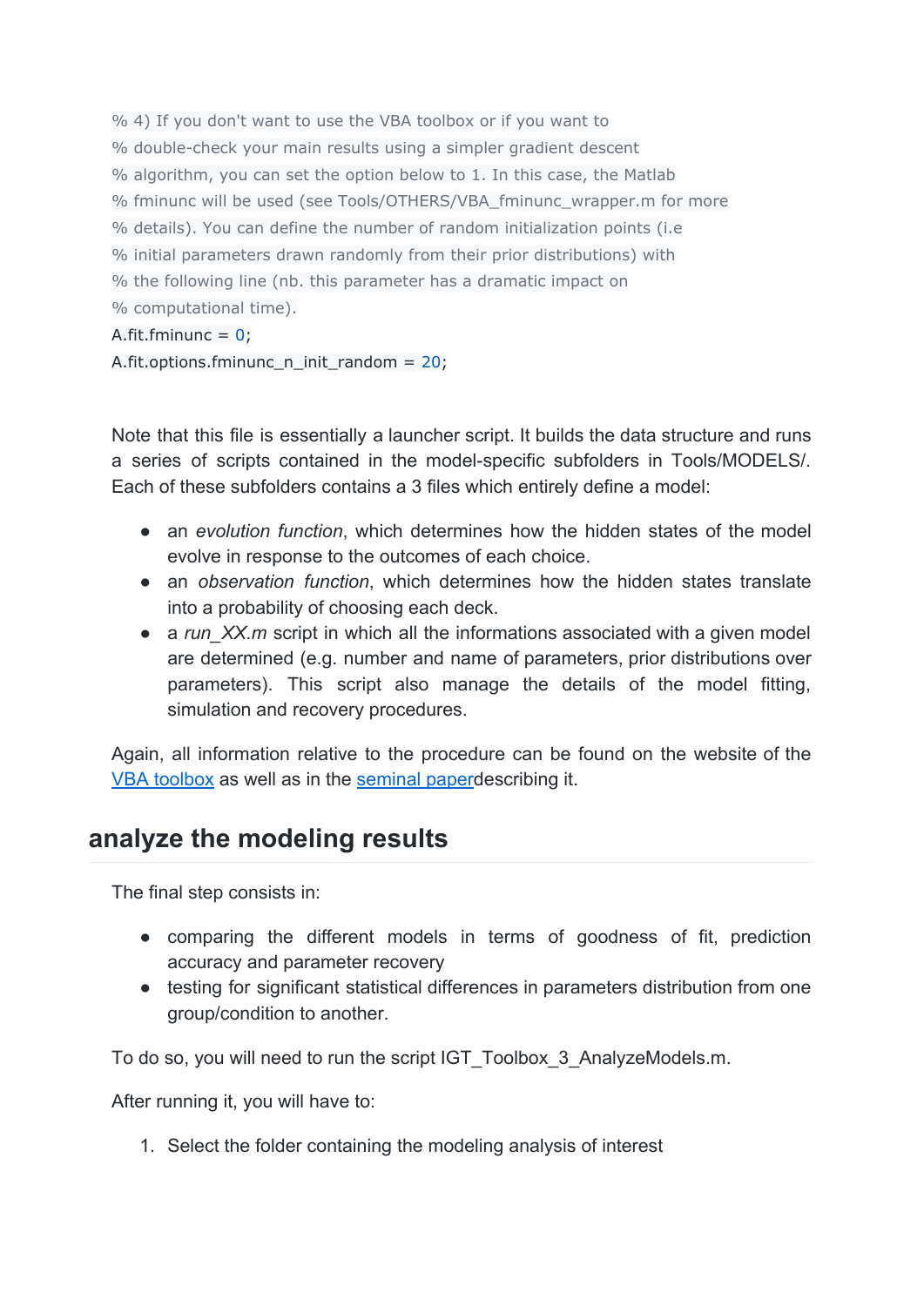```
% 4) If you don't want to use the VBA toolbox or if you want to
% double-check your main results using a simpler gradient descent
% algorithm, you can set the option below to 1. In this case, the Matlab
% fminunc will be used (see Tools/OTHERS/VBA_fminunc_wrapper.m for more
% details). You can define the number of random initialization points (i.e
% initial parameters drawn randomly from their prior distributions) with
% the following line (nb. this parameter has a dramatic impact on
% computational time).
A.fit.fminunc = 0;
A.fit.options.fminunc_n_init_random = 20;
```
Note that this file is essentially a launcher script. It builds the data structure and runs a series of scripts contained in the model-specific subfolders in Tools/MODELS/. Each of these subfolders contains a 3 files which entirely define a model:

- an *evolution function*, which determines how the hidden states of the model evolve in response to the outcomes of each choice.
- an *observation function*, which determines how the hidden states translate into a probability of choosing each deck.
- a *run* XX.m script in which all the informations associated with a given model are determined (e.g. number and name of parameters, prior distributions over parameters). This script also manage the details of the model fitting, simulation and recovery procedures.

Again, all information relative to the procedure can be found on the website of the [VBA toolbox](https://mbb-team.github.io/VBA-toolbox/) as well as in the seminal paper describing it.

# **analyze the modeling results**

The final step consists in:

- comparing the different models in terms of goodness of fit, prediction accuracy and parameter recovery
- testing for significant statistical differences in parameters distribution from one group/condition to another.

To do so, you will need to run the script IGT\_Toolbox\_3\_AnalyzeModels.m.

After running it, you will have to:

1. Select the folder containing the modeling analysis of interest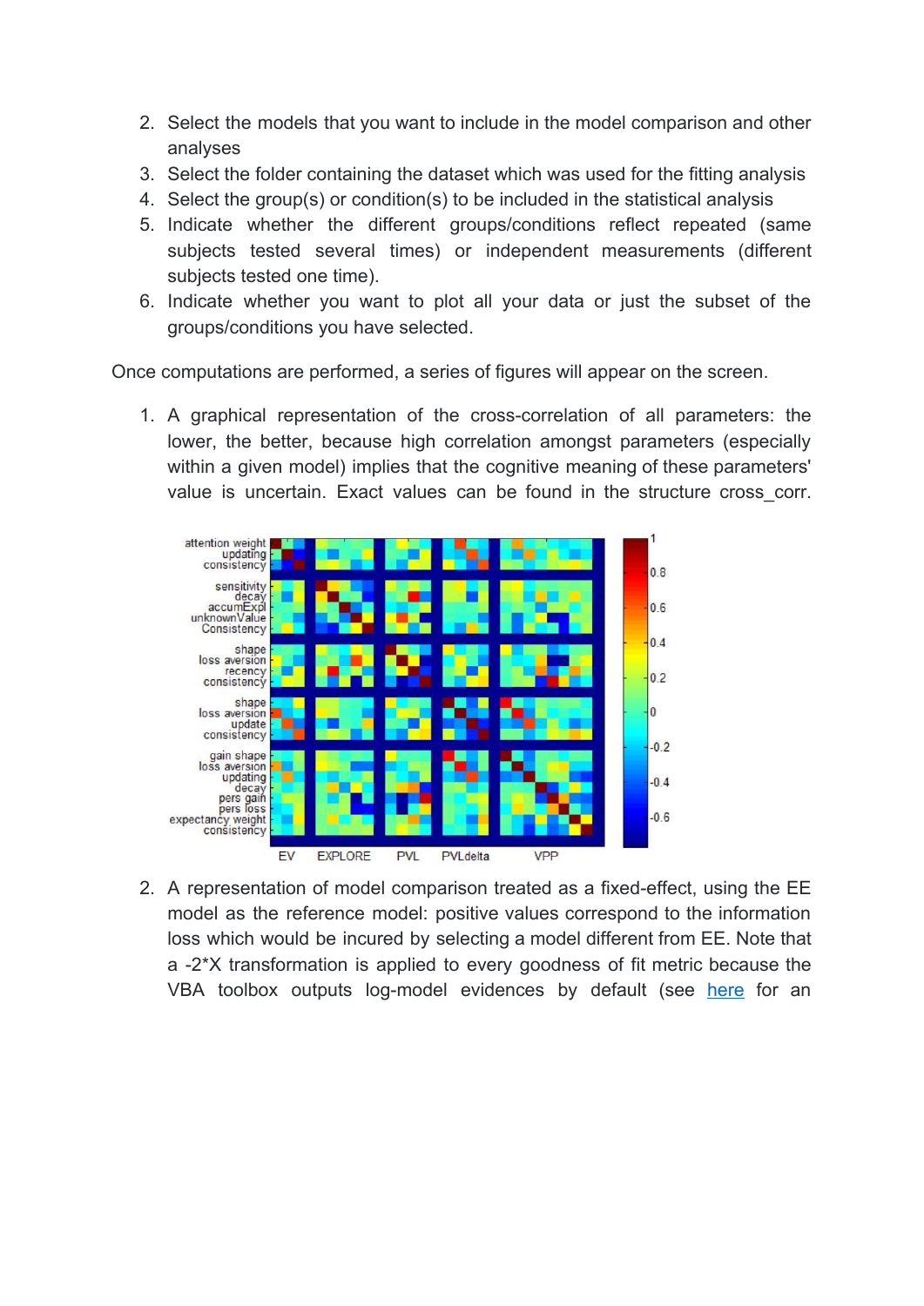- 2. Select the models that you want to include in the model comparison and other analyses
- 3. Select the folder containing the dataset which was used for the fitting analysis
- 4. Select the group(s) or condition(s) to be included in the statistical analysis
- 5. Indicate whether the different groups/conditions reflect repeated (same subjects tested several times) or independent measurements (different subjects tested one time).
- 6. Indicate whether you want to plot all your data or just the subset of the groups/conditions you have selected.

Once computations are performed, a series of figures will appear on the screen.

1. A graphical representation of the cross-correlation of all parameters: the lower, the better, because high correlation amongst parameters (especially within a given model) implies that the cognitive meaning of these parameters' value is uncertain. Exact values can be found in the structure cross\_corr.



2. A representation of model comparison treated as a fixed-effect, using the EE model as the reference model: positive values correspond to the information loss which would be incured by selecting a model different from EE. Note that a -2\*X transformation is applied to every goodness of fit metric because the VBA toolbox outputs log-model evidences by default (see [here](http://mbb-team.github.io/VBA-toolbox/wiki/VBA-output-structure/) for an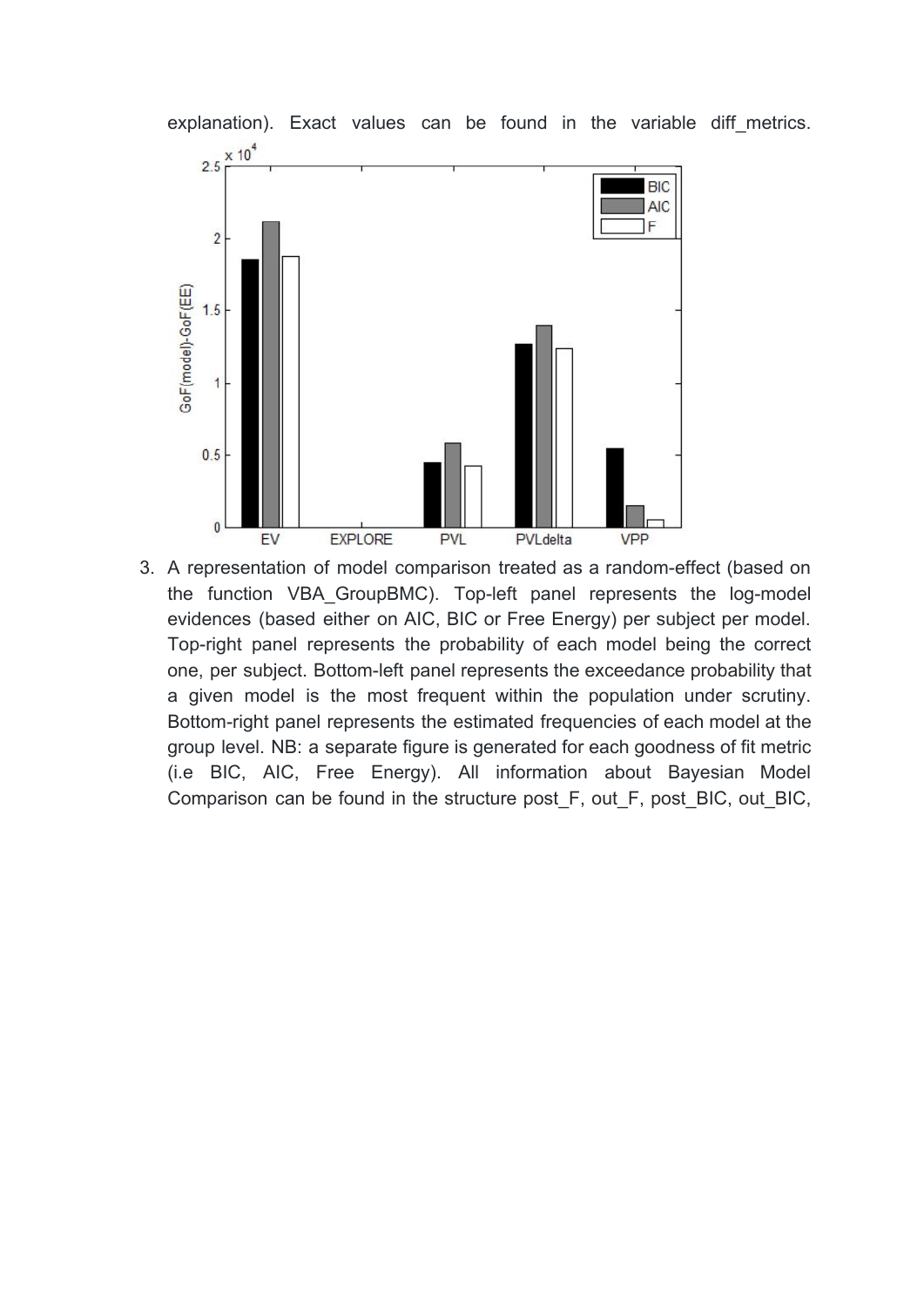

3. A representation of model comparison treated as a random-effect (based on the function VBA\_GroupBMC). Top-left panel represents the log-model evidences (based either on AIC, BIC or Free Energy) per subject per model. Top-right panel represents the probability of each model being the correct one, per subject. Bottom-left panel represents the exceedance probability that a given model is the most frequent within the population under scrutiny. Bottom-right panel represents the estimated frequencies of each model at the group level. NB: a separate figure is generated for each goodness of fit metric (i.e BIC, AIC, Free Energy). All information about Bayesian Model Comparison can be found in the structure post\_F, out\_F, post\_BIC, out\_BIC,

explanation). Exact values can be found in the variable diff metrics.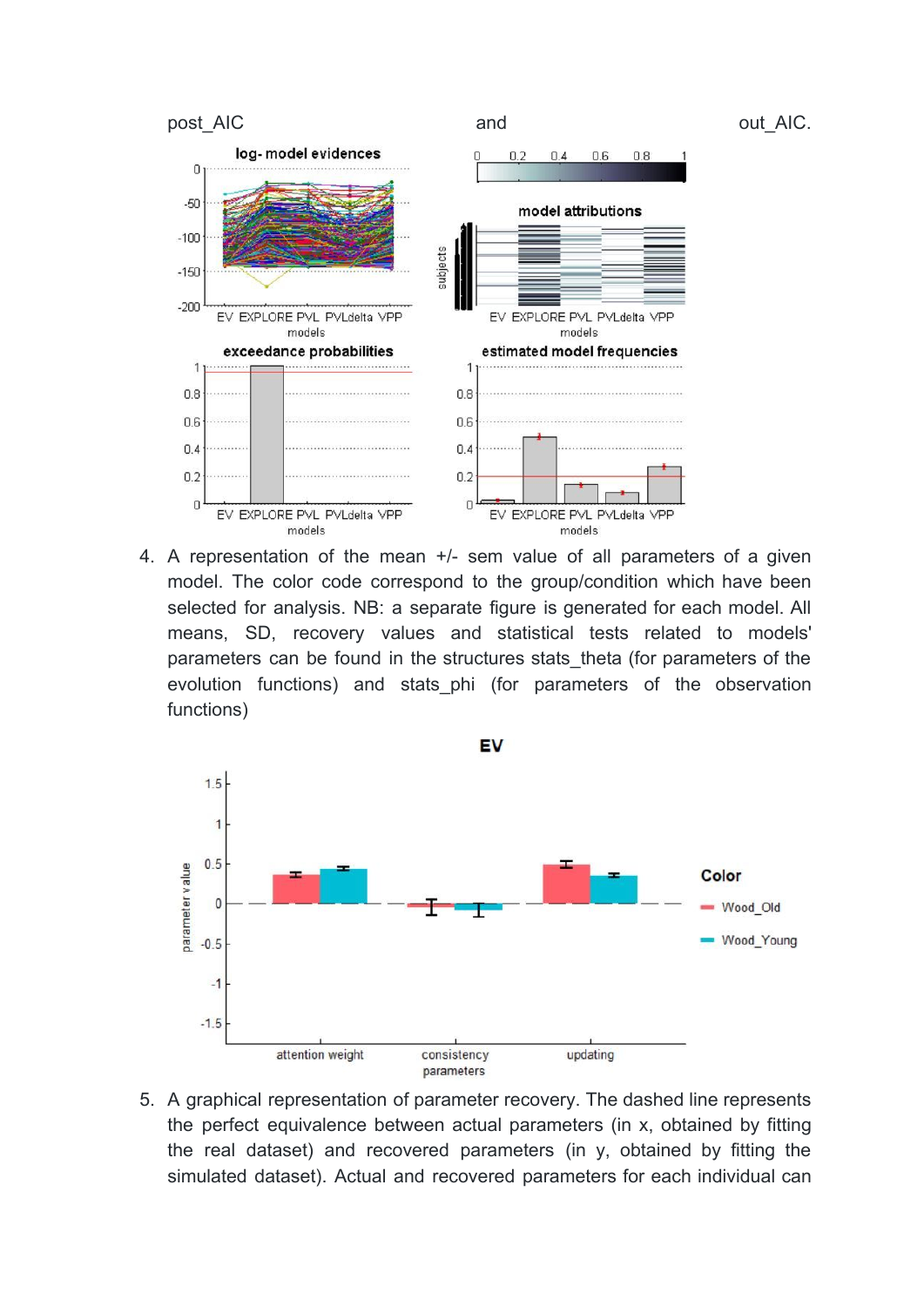

4. A representation of the mean +/- sem value of all parameters of a given model. The color code correspond to the group/condition which have been selected for analysis. NB: a separate figure is generated for each model. All means, SD, recovery values and statistical tests related to models' parameters can be found in the structures stats theta (for parameters of the evolution functions) and stats phi (for parameters of the observation functions)



5. A graphical representation of parameter recovery. The dashed line represents the perfect equivalence between actual parameters (in x, obtained by fitting the real dataset) and recovered parameters (in y, obtained by fitting the simulated dataset). Actual and recovered parameters for each individual can